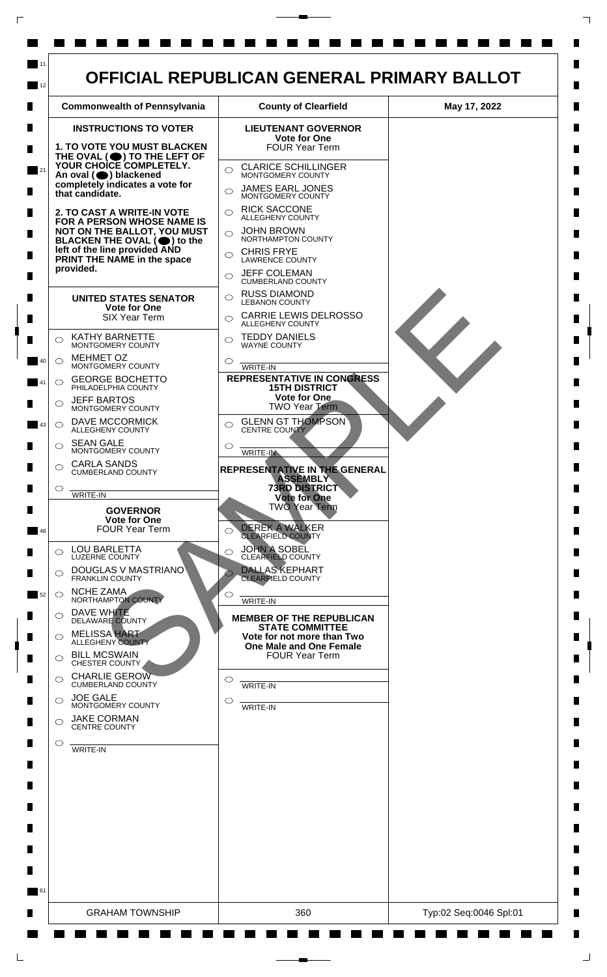

 $\mathsf{L}$ 

 $\Box$